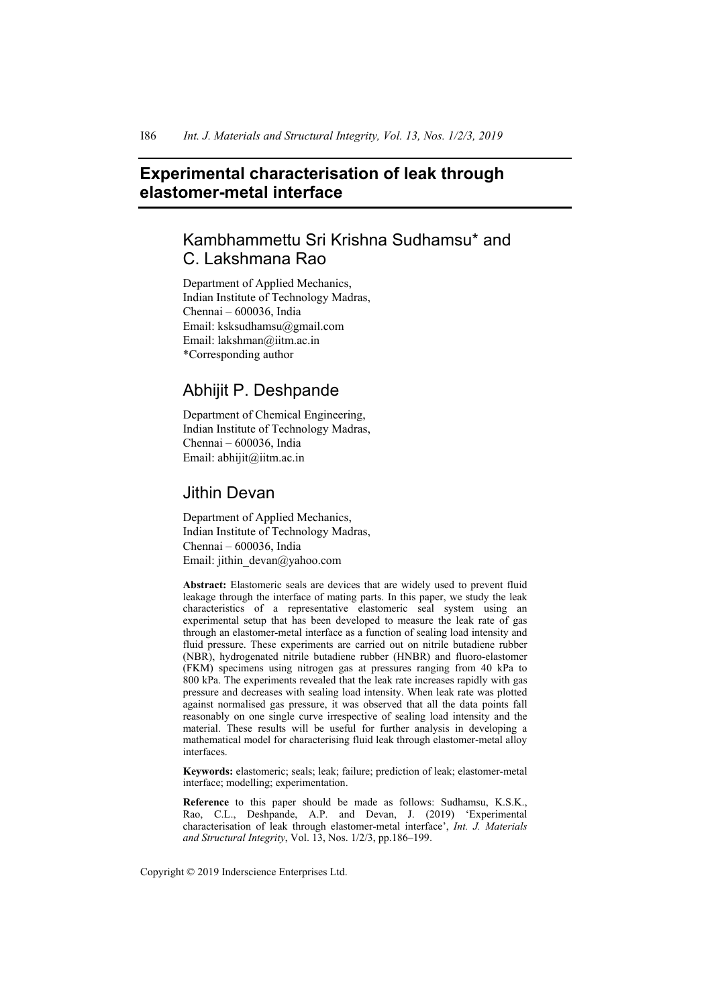# **Experimental characterisation of leak through elastomer-metal interface**

# Kambhammettu Sri Krishna Sudhamsu\* and C. Lakshmana Rao

Department of Applied Mechanics, Indian Institute of Technology Madras, Chennai – 600036, India Email: ksksudhamsu@gmail.com Email: lakshman@iitm.ac.in \*Corresponding author

# Abhijit P. Deshpande

Department of Chemical Engineering, Indian Institute of Technology Madras, Chennai – 600036, India Email: abhijit@iitm.ac.in

# Jithin Devan

Department of Applied Mechanics, Indian Institute of Technology Madras, Chennai – 600036, India Email: jithin\_devan@yahoo.com

**Abstract:** Elastomeric seals are devices that are widely used to prevent fluid leakage through the interface of mating parts. In this paper, we study the leak characteristics of a representative elastomeric seal system using an experimental setup that has been developed to measure the leak rate of gas through an elastomer-metal interface as a function of sealing load intensity and fluid pressure. These experiments are carried out on nitrile butadiene rubber (NBR), hydrogenated nitrile butadiene rubber (HNBR) and fluoro-elastomer (FKM) specimens using nitrogen gas at pressures ranging from 40 kPa to 800 kPa. The experiments revealed that the leak rate increases rapidly with gas pressure and decreases with sealing load intensity. When leak rate was plotted against normalised gas pressure, it was observed that all the data points fall reasonably on one single curve irrespective of sealing load intensity and the material. These results will be useful for further analysis in developing a mathematical model for characterising fluid leak through elastomer-metal alloy interfaces.

**Keywords:** elastomeric; seals; leak; failure; prediction of leak; elastomer-metal interface; modelling; experimentation.

**Reference** to this paper should be made as follows: Sudhamsu, K.S.K., Rao, C.L., Deshpande, A.P. and Devan, J. (2019) 'Experimental characterisation of leak through elastomer-metal interface', *Int. J. Materials and Structural Integrity*, Vol. 13, Nos. 1/2/3, pp.186–199.

Copyright © 2019 Inderscience Enterprises Ltd.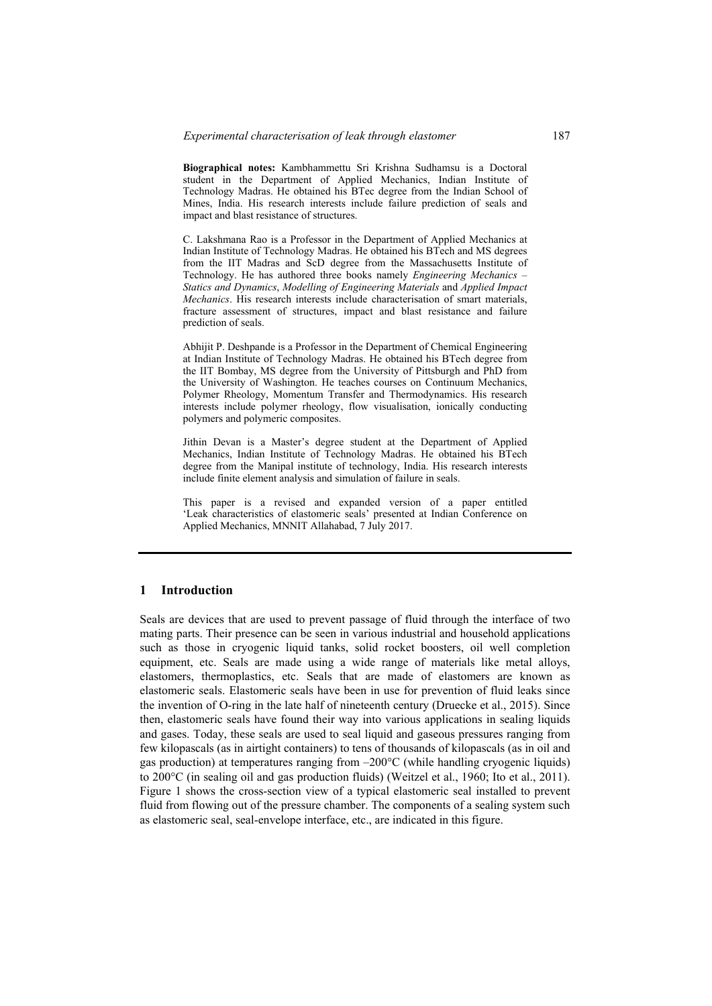**Biographical notes:** Kambhammettu Sri Krishna Sudhamsu is a Doctoral student in the Department of Applied Mechanics, Indian Institute of Technology Madras. He obtained his BTec degree from the Indian School of Mines, India. His research interests include failure prediction of seals and impact and blast resistance of structures.

C. Lakshmana Rao is a Professor in the Department of Applied Mechanics at Indian Institute of Technology Madras. He obtained his BTech and MS degrees from the IIT Madras and ScD degree from the Massachusetts Institute of Technology. He has authored three books namely *Engineering Mechanics – Statics and Dynamics*, *Modelling of Engineering Materials* and *Applied Impact Mechanics*. His research interests include characterisation of smart materials, fracture assessment of structures, impact and blast resistance and failure prediction of seals.

Abhijit P. Deshpande is a Professor in the Department of Chemical Engineering at Indian Institute of Technology Madras. He obtained his BTech degree from the IIT Bombay, MS degree from the University of Pittsburgh and PhD from the University of Washington. He teaches courses on Continuum Mechanics, Polymer Rheology, Momentum Transfer and Thermodynamics. His research interests include polymer rheology, flow visualisation, ionically conducting polymers and polymeric composites.

Jithin Devan is a Master's degree student at the Department of Applied Mechanics, Indian Institute of Technology Madras. He obtained his BTech degree from the Manipal institute of technology, India. His research interests include finite element analysis and simulation of failure in seals.

This paper is a revised and expanded version of a paper entitled 'Leak characteristics of elastomeric seals' presented at Indian Conference on Applied Mechanics, MNNIT Allahabad, 7 July 2017.

#### **1 Introduction**

Seals are devices that are used to prevent passage of fluid through the interface of two mating parts. Their presence can be seen in various industrial and household applications such as those in cryogenic liquid tanks, solid rocket boosters, oil well completion equipment, etc. Seals are made using a wide range of materials like metal alloys, elastomers, thermoplastics, etc. Seals that are made of elastomers are known as elastomeric seals. Elastomeric seals have been in use for prevention of fluid leaks since the invention of O-ring in the late half of nineteenth century (Druecke et al., 2015). Since then, elastomeric seals have found their way into various applications in sealing liquids and gases. Today, these seals are used to seal liquid and gaseous pressures ranging from few kilopascals (as in airtight containers) to tens of thousands of kilopascals (as in oil and gas production) at temperatures ranging from –200°C (while handling cryogenic liquids) to 200°C (in sealing oil and gas production fluids) (Weitzel et al., 1960; Ito et al., 2011). Figure 1 shows the cross-section view of a typical elastomeric seal installed to prevent fluid from flowing out of the pressure chamber. The components of a sealing system such as elastomeric seal, seal-envelope interface, etc., are indicated in this figure.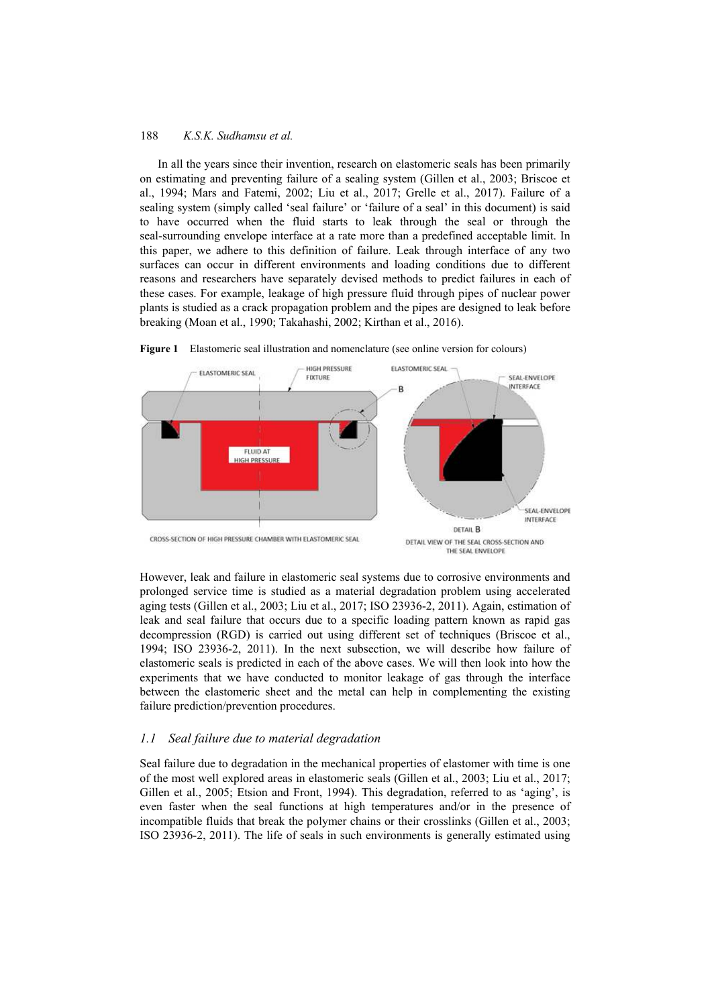In all the years since their invention, research on elastomeric seals has been primarily on estimating and preventing failure of a sealing system (Gillen et al., 2003; Briscoe et al., 1994; Mars and Fatemi, 2002; Liu et al., 2017; Grelle et al., 2017). Failure of a sealing system (simply called 'seal failure' or 'failure of a seal' in this document) is said to have occurred when the fluid starts to leak through the seal or through the seal-surrounding envelope interface at a rate more than a predefined acceptable limit. In this paper, we adhere to this definition of failure. Leak through interface of any two surfaces can occur in different environments and loading conditions due to different reasons and researchers have separately devised methods to predict failures in each of these cases. For example, leakage of high pressure fluid through pipes of nuclear power plants is studied as a crack propagation problem and the pipes are designed to leak before breaking (Moan et al., 1990; Takahashi, 2002; Kirthan et al., 2016).



**Figure 1** Elastomeric seal illustration and nomenclature (see online version for colours)

However, leak and failure in elastomeric seal systems due to corrosive environments and prolonged service time is studied as a material degradation problem using accelerated aging tests (Gillen et al., 2003; Liu et al., 2017; ISO 23936-2, 2011). Again, estimation of leak and seal failure that occurs due to a specific loading pattern known as rapid gas decompression (RGD) is carried out using different set of techniques (Briscoe et al., 1994; ISO 23936-2, 2011). In the next subsection, we will describe how failure of elastomeric seals is predicted in each of the above cases. We will then look into how the experiments that we have conducted to monitor leakage of gas through the interface between the elastomeric sheet and the metal can help in complementing the existing failure prediction/prevention procedures.

### *1.1 Seal failure due to material degradation*

Seal failure due to degradation in the mechanical properties of elastomer with time is one of the most well explored areas in elastomeric seals (Gillen et al., 2003; Liu et al., 2017; Gillen et al., 2005; Etsion and Front, 1994). This degradation, referred to as 'aging', is even faster when the seal functions at high temperatures and/or in the presence of incompatible fluids that break the polymer chains or their crosslinks (Gillen et al., 2003; ISO 23936-2, 2011). The life of seals in such environments is generally estimated using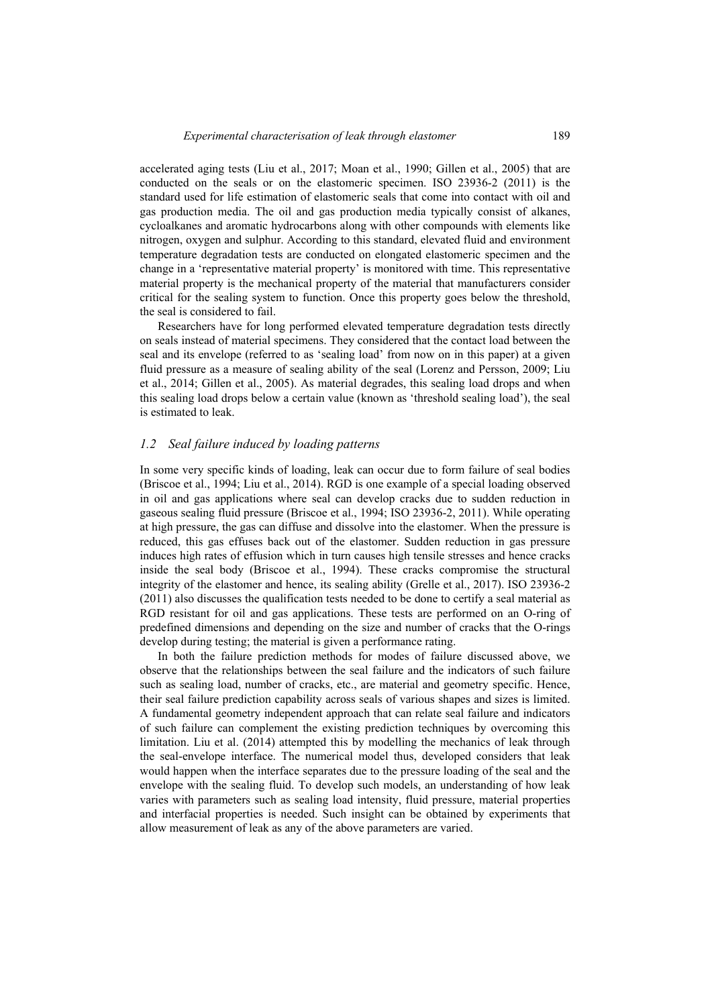accelerated aging tests (Liu et al., 2017; Moan et al., 1990; Gillen et al., 2005) that are conducted on the seals or on the elastomeric specimen. ISO 23936-2 (2011) is the standard used for life estimation of elastomeric seals that come into contact with oil and gas production media. The oil and gas production media typically consist of alkanes, cycloalkanes and aromatic hydrocarbons along with other compounds with elements like nitrogen, oxygen and sulphur. According to this standard, elevated fluid and environment temperature degradation tests are conducted on elongated elastomeric specimen and the change in a 'representative material property' is monitored with time. This representative material property is the mechanical property of the material that manufacturers consider critical for the sealing system to function. Once this property goes below the threshold, the seal is considered to fail.

Researchers have for long performed elevated temperature degradation tests directly on seals instead of material specimens. They considered that the contact load between the seal and its envelope (referred to as 'sealing load' from now on in this paper) at a given fluid pressure as a measure of sealing ability of the seal (Lorenz and Persson, 2009; Liu et al., 2014; Gillen et al., 2005). As material degrades, this sealing load drops and when this sealing load drops below a certain value (known as 'threshold sealing load'), the seal is estimated to leak.

#### *1.2 Seal failure induced by loading patterns*

In some very specific kinds of loading, leak can occur due to form failure of seal bodies (Briscoe et al., 1994; Liu et al., 2014). RGD is one example of a special loading observed in oil and gas applications where seal can develop cracks due to sudden reduction in gaseous sealing fluid pressure (Briscoe et al., 1994; ISO 23936-2, 2011). While operating at high pressure, the gas can diffuse and dissolve into the elastomer. When the pressure is reduced, this gas effuses back out of the elastomer. Sudden reduction in gas pressure induces high rates of effusion which in turn causes high tensile stresses and hence cracks inside the seal body (Briscoe et al., 1994). These cracks compromise the structural integrity of the elastomer and hence, its sealing ability (Grelle et al., 2017). ISO 23936-2 (2011) also discusses the qualification tests needed to be done to certify a seal material as RGD resistant for oil and gas applications. These tests are performed on an O-ring of predefined dimensions and depending on the size and number of cracks that the O-rings develop during testing; the material is given a performance rating.

In both the failure prediction methods for modes of failure discussed above, we observe that the relationships between the seal failure and the indicators of such failure such as sealing load, number of cracks, etc., are material and geometry specific. Hence, their seal failure prediction capability across seals of various shapes and sizes is limited. A fundamental geometry independent approach that can relate seal failure and indicators of such failure can complement the existing prediction techniques by overcoming this limitation. Liu et al. (2014) attempted this by modelling the mechanics of leak through the seal-envelope interface. The numerical model thus, developed considers that leak would happen when the interface separates due to the pressure loading of the seal and the envelope with the sealing fluid. To develop such models, an understanding of how leak varies with parameters such as sealing load intensity, fluid pressure, material properties and interfacial properties is needed. Such insight can be obtained by experiments that allow measurement of leak as any of the above parameters are varied.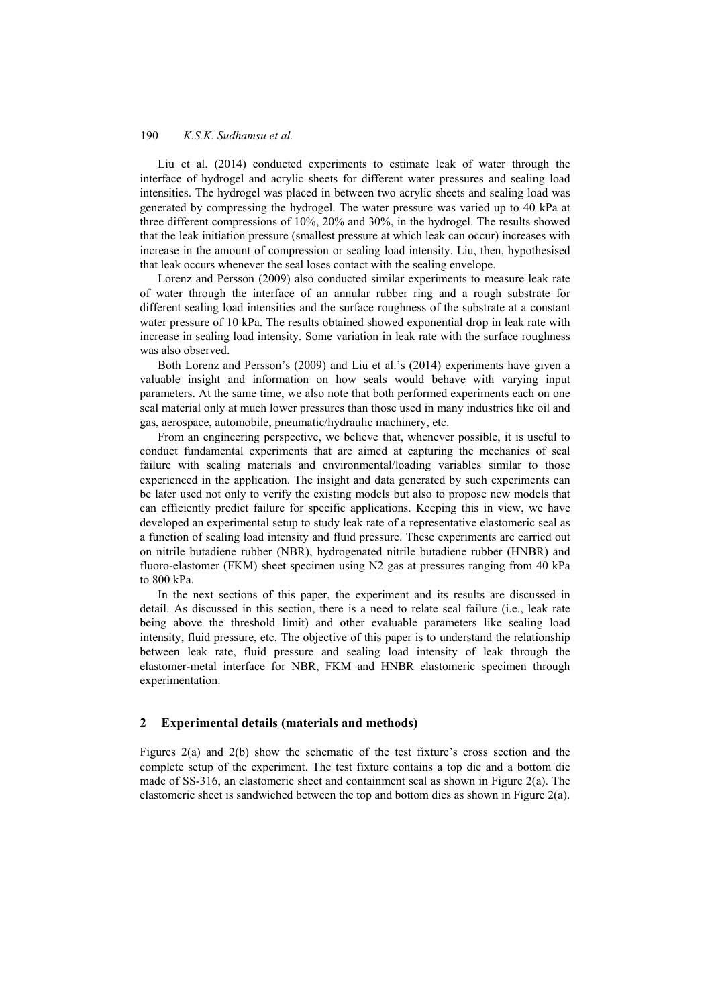Liu et al. (2014) conducted experiments to estimate leak of water through the interface of hydrogel and acrylic sheets for different water pressures and sealing load intensities. The hydrogel was placed in between two acrylic sheets and sealing load was generated by compressing the hydrogel. The water pressure was varied up to 40 kPa at three different compressions of 10%, 20% and 30%, in the hydrogel. The results showed that the leak initiation pressure (smallest pressure at which leak can occur) increases with increase in the amount of compression or sealing load intensity. Liu, then, hypothesised that leak occurs whenever the seal loses contact with the sealing envelope.

Lorenz and Persson (2009) also conducted similar experiments to measure leak rate of water through the interface of an annular rubber ring and a rough substrate for different sealing load intensities and the surface roughness of the substrate at a constant water pressure of 10 kPa. The results obtained showed exponential drop in leak rate with increase in sealing load intensity. Some variation in leak rate with the surface roughness was also observed.

Both Lorenz and Persson's (2009) and Liu et al.'s (2014) experiments have given a valuable insight and information on how seals would behave with varying input parameters. At the same time, we also note that both performed experiments each on one seal material only at much lower pressures than those used in many industries like oil and gas, aerospace, automobile, pneumatic/hydraulic machinery, etc.

From an engineering perspective, we believe that, whenever possible, it is useful to conduct fundamental experiments that are aimed at capturing the mechanics of seal failure with sealing materials and environmental/loading variables similar to those experienced in the application. The insight and data generated by such experiments can be later used not only to verify the existing models but also to propose new models that can efficiently predict failure for specific applications. Keeping this in view, we have developed an experimental setup to study leak rate of a representative elastomeric seal as a function of sealing load intensity and fluid pressure. These experiments are carried out on nitrile butadiene rubber (NBR), hydrogenated nitrile butadiene rubber (HNBR) and fluoro-elastomer (FKM) sheet specimen using N2 gas at pressures ranging from 40 kPa to 800 kPa.

In the next sections of this paper, the experiment and its results are discussed in detail. As discussed in this section, there is a need to relate seal failure (i.e., leak rate being above the threshold limit) and other evaluable parameters like sealing load intensity, fluid pressure, etc. The objective of this paper is to understand the relationship between leak rate, fluid pressure and sealing load intensity of leak through the elastomer-metal interface for NBR, FKM and HNBR elastomeric specimen through experimentation.

#### **2 Experimental details (materials and methods)**

Figures  $2(a)$  and  $2(b)$  show the schematic of the test fixture's cross section and the complete setup of the experiment. The test fixture contains a top die and a bottom die made of SS-316, an elastomeric sheet and containment seal as shown in Figure 2(a). The elastomeric sheet is sandwiched between the top and bottom dies as shown in Figure 2(a).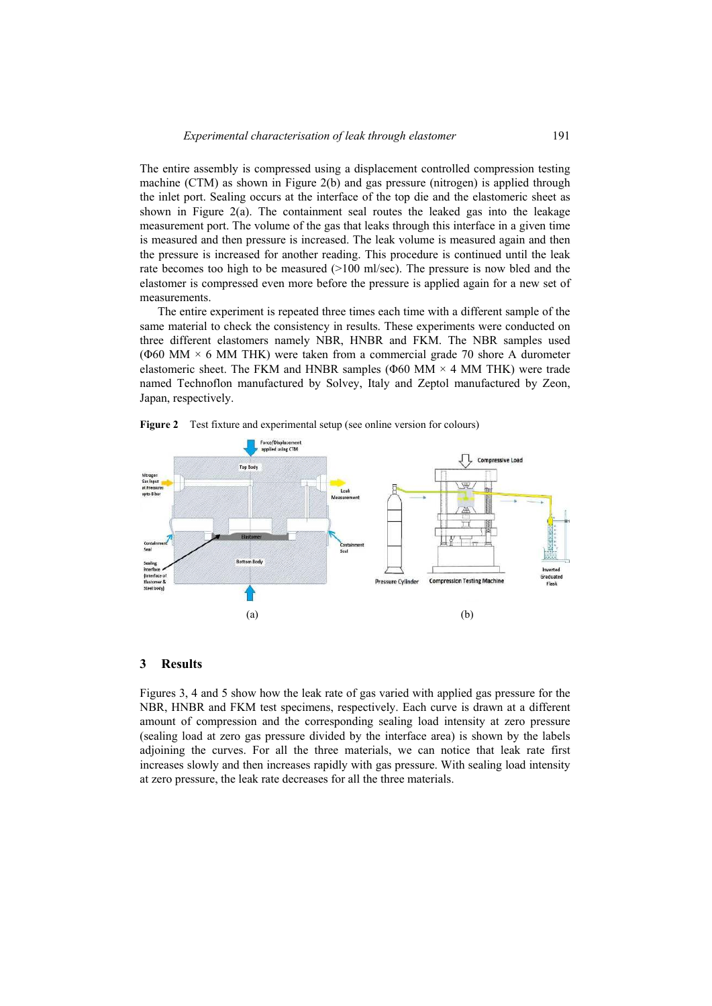The entire assembly is compressed using a displacement controlled compression testing machine (CTM) as shown in Figure 2(b) and gas pressure (nitrogen) is applied through the inlet port. Sealing occurs at the interface of the top die and the elastomeric sheet as shown in Figure 2(a). The containment seal routes the leaked gas into the leakage measurement port. The volume of the gas that leaks through this interface in a given time is measured and then pressure is increased. The leak volume is measured again and then the pressure is increased for another reading. This procedure is continued until the leak rate becomes too high to be measured (>100 ml/sec). The pressure is now bled and the elastomer is compressed even more before the pressure is applied again for a new set of measurements.

The entire experiment is repeated three times each time with a different sample of the same material to check the consistency in results. These experiments were conducted on three different elastomers namely NBR, HNBR and FKM. The NBR samples used ( $\Phi$ 60 MM  $\times$  6 MM THK) were taken from a commercial grade 70 shore A durometer elastomeric sheet. The FKM and HNBR samples ( $\Phi$ 60 MM  $\times$  4 MM THK) were trade named Technoflon manufactured by Solvey, Italy and Zeptol manufactured by Zeon, Japan, respectively.

**Figure 2** Test fixture and experimental setup (see online version for colours)



#### **3 Results**

Figures 3, 4 and 5 show how the leak rate of gas varied with applied gas pressure for the NBR, HNBR and FKM test specimens, respectively. Each curve is drawn at a different amount of compression and the corresponding sealing load intensity at zero pressure (sealing load at zero gas pressure divided by the interface area) is shown by the labels adjoining the curves. For all the three materials, we can notice that leak rate first increases slowly and then increases rapidly with gas pressure. With sealing load intensity at zero pressure, the leak rate decreases for all the three materials.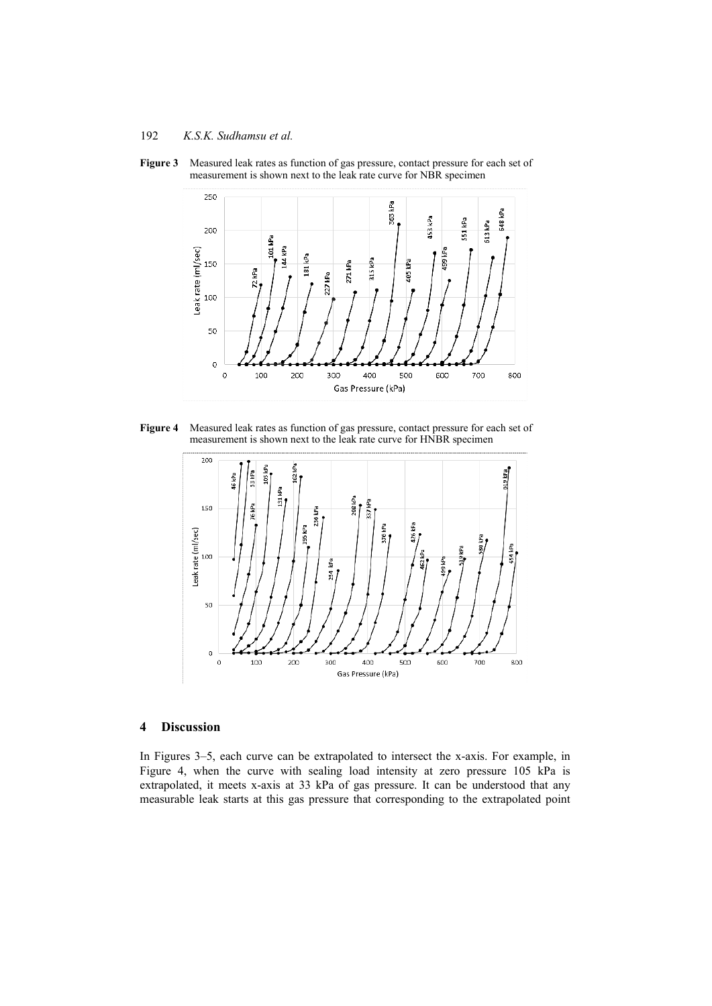

**Figure 3** Measured leak rates as function of gas pressure, contact pressure for each set of measurement is shown next to the leak rate curve for NBR specimen

**Figure 4** Measured leak rates as function of gas pressure, contact pressure for each set of measurement is shown next to the leak rate curve for HNBR specimen



# **4 Discussion**

In Figures 3–5, each curve can be extrapolated to intersect the x-axis. For example, in Figure 4, when the curve with sealing load intensity at zero pressure 105 kPa is extrapolated, it meets x-axis at 33 kPa of gas pressure. It can be understood that any measurable leak starts at this gas pressure that corresponding to the extrapolated point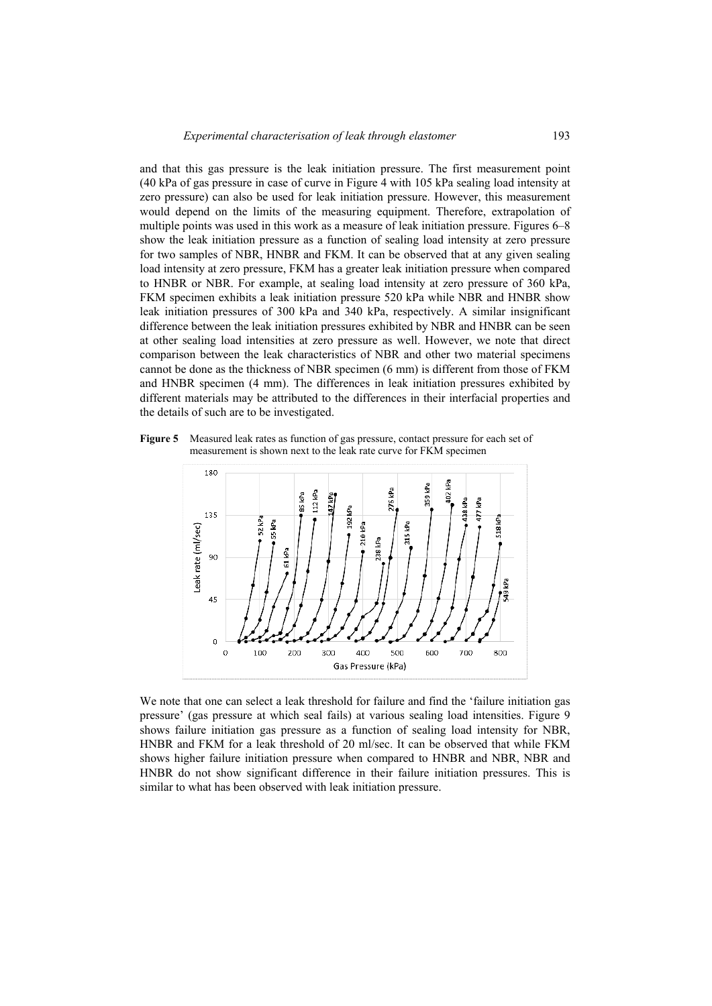and that this gas pressure is the leak initiation pressure. The first measurement point (40 kPa of gas pressure in case of curve in Figure 4 with 105 kPa sealing load intensity at zero pressure) can also be used for leak initiation pressure. However, this measurement would depend on the limits of the measuring equipment. Therefore, extrapolation of multiple points was used in this work as a measure of leak initiation pressure. Figures 6–8 show the leak initiation pressure as a function of sealing load intensity at zero pressure for two samples of NBR, HNBR and FKM. It can be observed that at any given sealing load intensity at zero pressure, FKM has a greater leak initiation pressure when compared to HNBR or NBR. For example, at sealing load intensity at zero pressure of 360 kPa, FKM specimen exhibits a leak initiation pressure 520 kPa while NBR and HNBR show leak initiation pressures of 300 kPa and 340 kPa, respectively. A similar insignificant difference between the leak initiation pressures exhibited by NBR and HNBR can be seen at other sealing load intensities at zero pressure as well. However, we note that direct comparison between the leak characteristics of NBR and other two material specimens cannot be done as the thickness of NBR specimen (6 mm) is different from those of FKM and HNBR specimen (4 mm). The differences in leak initiation pressures exhibited by different materials may be attributed to the differences in their interfacial properties and the details of such are to be investigated.

**Figure 5** Measured leak rates as function of gas pressure, contact pressure for each set of measurement is shown next to the leak rate curve for FKM specimen



We note that one can select a leak threshold for failure and find the 'failure initiation gas pressure' (gas pressure at which seal fails) at various sealing load intensities. Figure 9 shows failure initiation gas pressure as a function of sealing load intensity for NBR, HNBR and FKM for a leak threshold of 20 ml/sec. It can be observed that while FKM shows higher failure initiation pressure when compared to HNBR and NBR, NBR and HNBR do not show significant difference in their failure initiation pressures. This is similar to what has been observed with leak initiation pressure.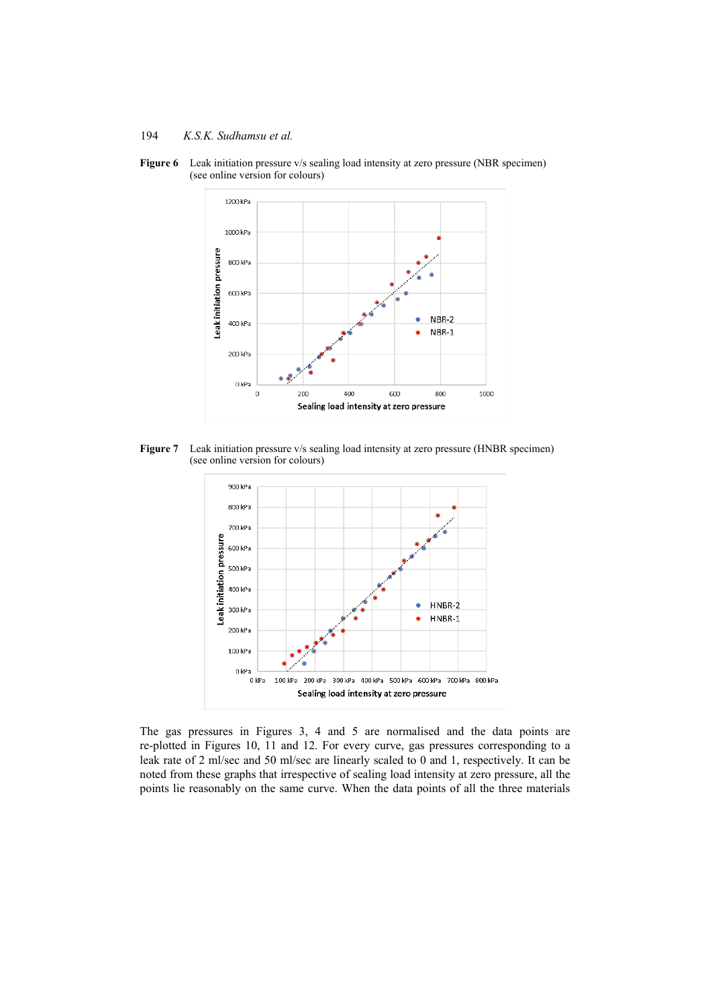

Figure 6 Leak initiation pressure v/s sealing load intensity at zero pressure (NBR specimen) (see online version for colours)

Figure 7 Leak initiation pressure v/s sealing load intensity at zero pressure (HNBR specimen) (see online version for colours)



The gas pressures in Figures 3, 4 and 5 are normalised and the data points are re-plotted in Figures 10, 11 and 12. For every curve, gas pressures corresponding to a leak rate of 2 ml/sec and 50 ml/sec are linearly scaled to 0 and 1, respectively. It can be noted from these graphs that irrespective of sealing load intensity at zero pressure, all the points lie reasonably on the same curve. When the data points of all the three materials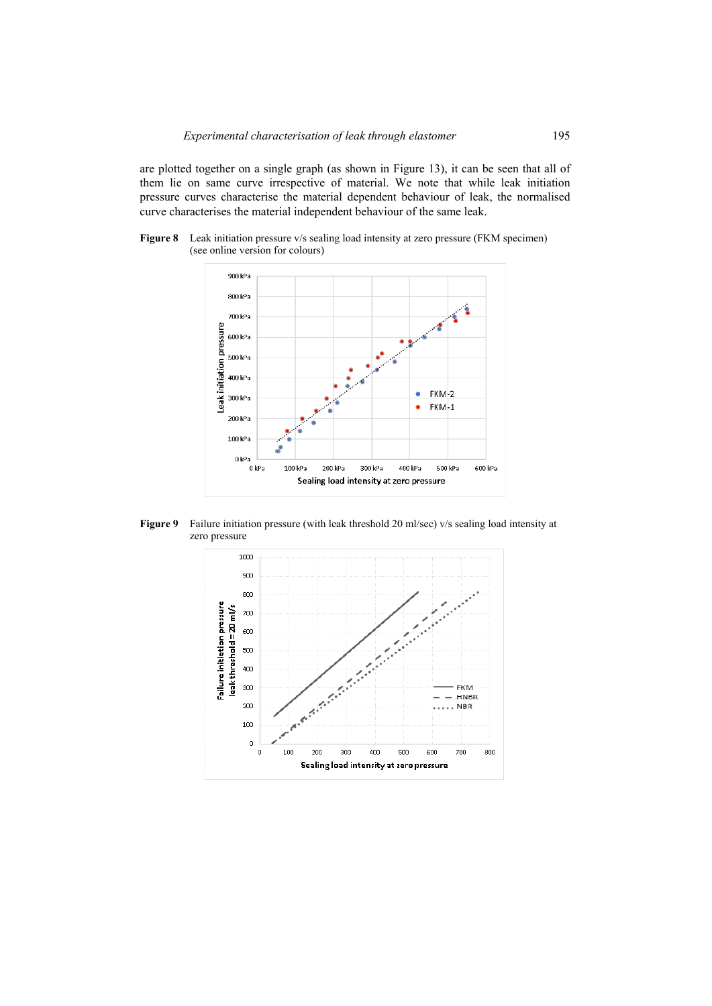are plotted together on a single graph (as shown in Figure 13), it can be seen that all of them lie on same curve irrespective of material. We note that while leak initiation pressure curves characterise the material dependent behaviour of leak, the normalised curve characterises the material independent behaviour of the same leak.

**Figure 8** Leak initiation pressure v/s sealing load intensity at zero pressure (FKM specimen) (see online version for colours)



**Figure 9** Failure initiation pressure (with leak threshold 20 ml/sec) v/s sealing load intensity at zero pressure

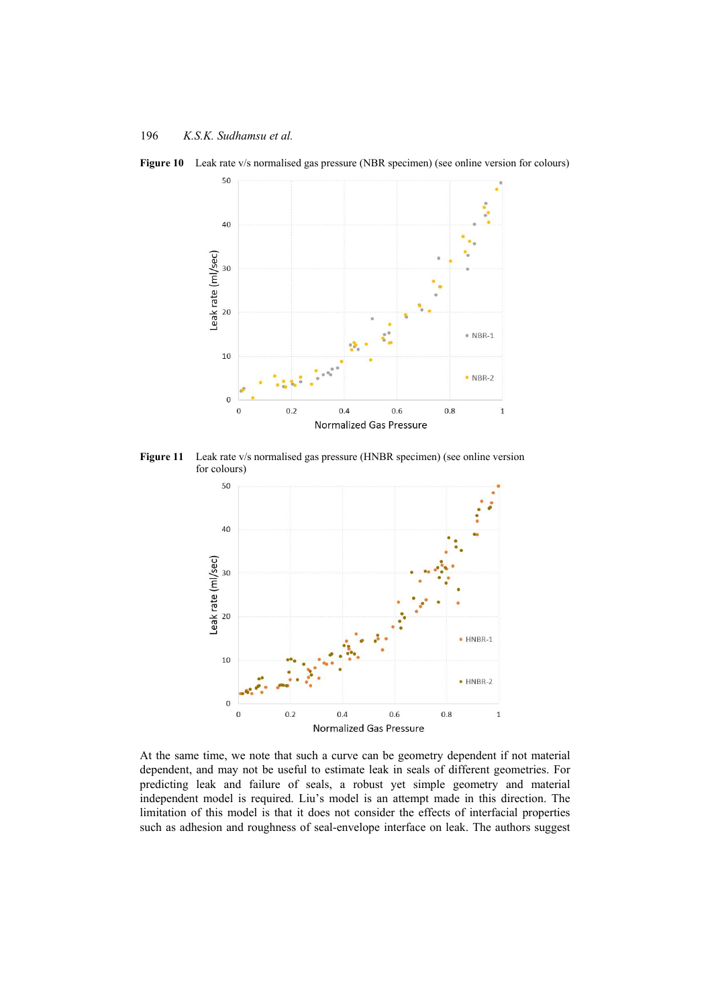

Figure 10 Leak rate v/s normalised gas pressure (NBR specimen) (see online version for colours)

**Figure 11** Leak rate v/s normalised gas pressure (HNBR specimen) (see online version for colours)



At the same time, we note that such a curve can be geometry dependent if not material dependent, and may not be useful to estimate leak in seals of different geometries. For predicting leak and failure of seals, a robust yet simple geometry and material independent model is required. Liu's model is an attempt made in this direction. The limitation of this model is that it does not consider the effects of interfacial properties such as adhesion and roughness of seal-envelope interface on leak. The authors suggest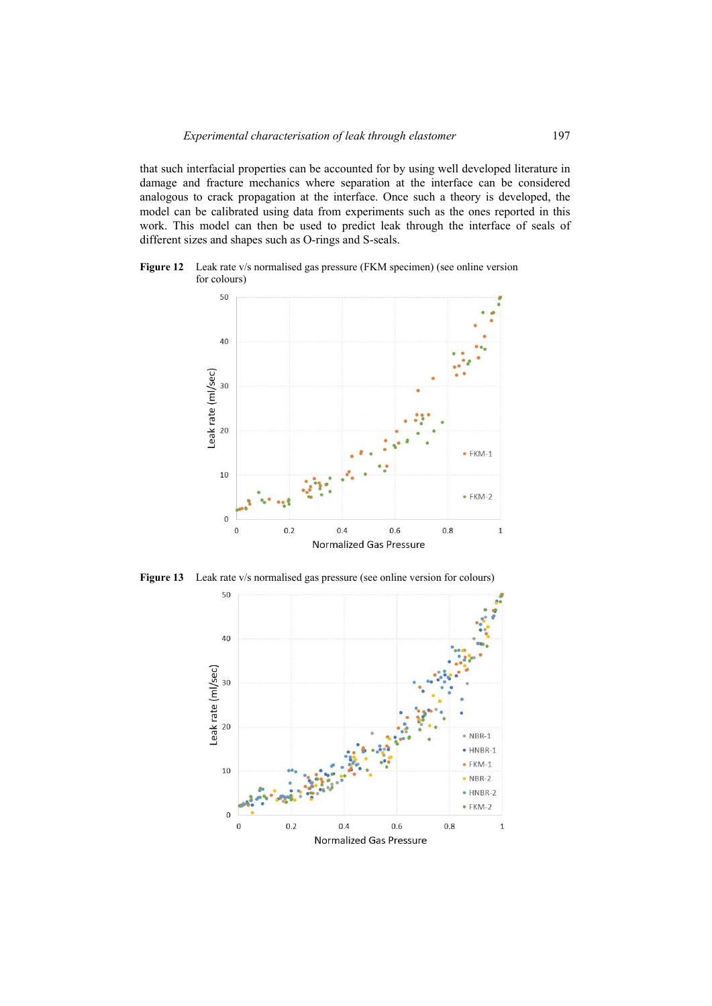that such interfacial properties can be accounted for by using well developed literature in damage and fracture mechanics where separation at the interface can be considered analogous to crack propagation at the interface. Once such a theory is developed, the model can be calibrated using data from experiments such as the ones reported in this work. This model can then be used to predict leak through the interface of seals of different sizes and shapes such as O-rings and S-seals.

Figure 12 Leak rate v/s normalised gas pressure (FKM specimen) (see online version for colours)



**Figure 13** Leak rate v/s normalised gas pressure (see online version for colours)

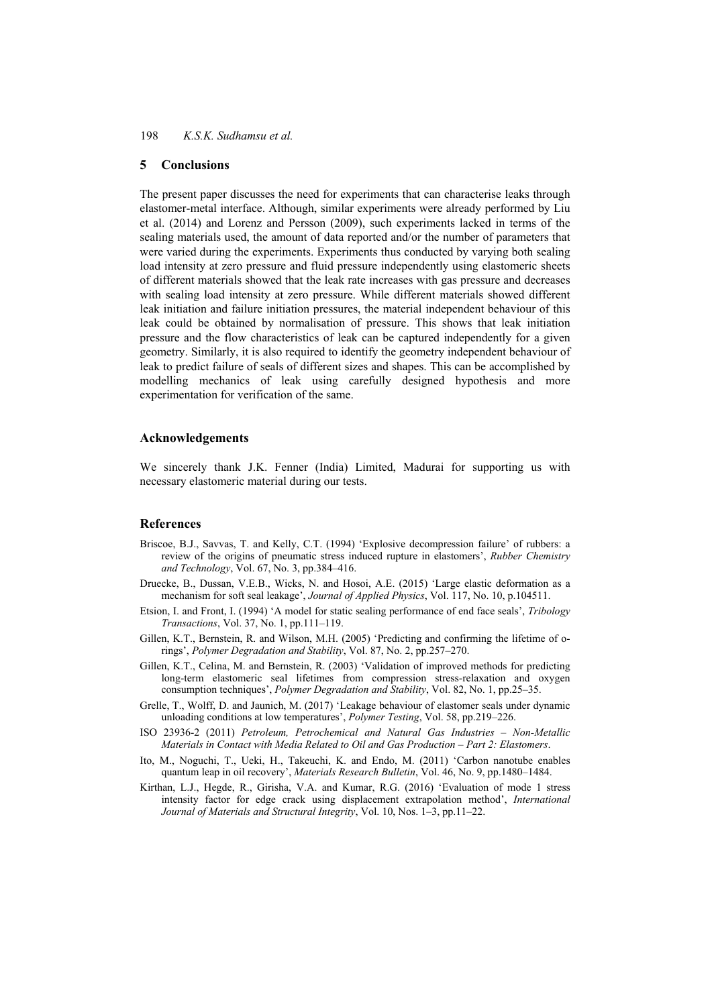## **5 Conclusions**

The present paper discusses the need for experiments that can characterise leaks through elastomer-metal interface. Although, similar experiments were already performed by Liu et al. (2014) and Lorenz and Persson (2009), such experiments lacked in terms of the sealing materials used, the amount of data reported and/or the number of parameters that were varied during the experiments. Experiments thus conducted by varying both sealing load intensity at zero pressure and fluid pressure independently using elastomeric sheets of different materials showed that the leak rate increases with gas pressure and decreases with sealing load intensity at zero pressure. While different materials showed different leak initiation and failure initiation pressures, the material independent behaviour of this leak could be obtained by normalisation of pressure. This shows that leak initiation pressure and the flow characteristics of leak can be captured independently for a given geometry. Similarly, it is also required to identify the geometry independent behaviour of leak to predict failure of seals of different sizes and shapes. This can be accomplished by modelling mechanics of leak using carefully designed hypothesis and more experimentation for verification of the same.

## **Acknowledgements**

We sincerely thank J.K. Fenner (India) Limited, Madurai for supporting us with necessary elastomeric material during our tests.

### **References**

- Briscoe, B.J., Savvas, T. and Kelly, C.T. (1994) 'Explosive decompression failure' of rubbers: a review of the origins of pneumatic stress induced rupture in elastomers', *Rubber Chemistry and Technology*, Vol. 67, No. 3, pp.384–416.
- Druecke, B., Dussan, V.E.B., Wicks, N. and Hosoi, A.E. (2015) 'Large elastic deformation as a mechanism for soft seal leakage', *Journal of Applied Physics*, Vol. 117, No. 10, p.104511.
- Etsion, I. and Front, I. (1994) 'A model for static sealing performance of end face seals', *Tribology Transactions*, Vol. 37, No. 1, pp.111–119.
- Gillen, K.T., Bernstein, R. and Wilson, M.H. (2005) 'Predicting and confirming the lifetime of orings', *Polymer Degradation and Stability*, Vol. 87, No. 2, pp.257–270.
- Gillen, K.T., Celina, M. and Bernstein, R. (2003) 'Validation of improved methods for predicting long-term elastomeric seal lifetimes from compression stress-relaxation and oxygen consumption techniques', *Polymer Degradation and Stability*, Vol. 82, No. 1, pp.25–35.
- Grelle, T., Wolff, D. and Jaunich, M. (2017) 'Leakage behaviour of elastomer seals under dynamic unloading conditions at low temperatures', *Polymer Testing*, Vol. 58, pp.219–226.
- ISO 23936-2 (2011) *Petroleum, Petrochemical and Natural Gas Industries Non-Metallic Materials in Contact with Media Related to Oil and Gas Production – Part 2: Elastomers*.
- Ito, M., Noguchi, T., Ueki, H., Takeuchi, K. and Endo, M. (2011) 'Carbon nanotube enables quantum leap in oil recovery', *Materials Research Bulletin*, Vol. 46, No. 9, pp.1480–1484.
- Kirthan, L.J., Hegde, R., Girisha, V.A. and Kumar, R.G. (2016) 'Evaluation of mode 1 stress intensity factor for edge crack using displacement extrapolation method', *International Journal of Materials and Structural Integrity*, Vol. 10, Nos. 1–3, pp.11–22.